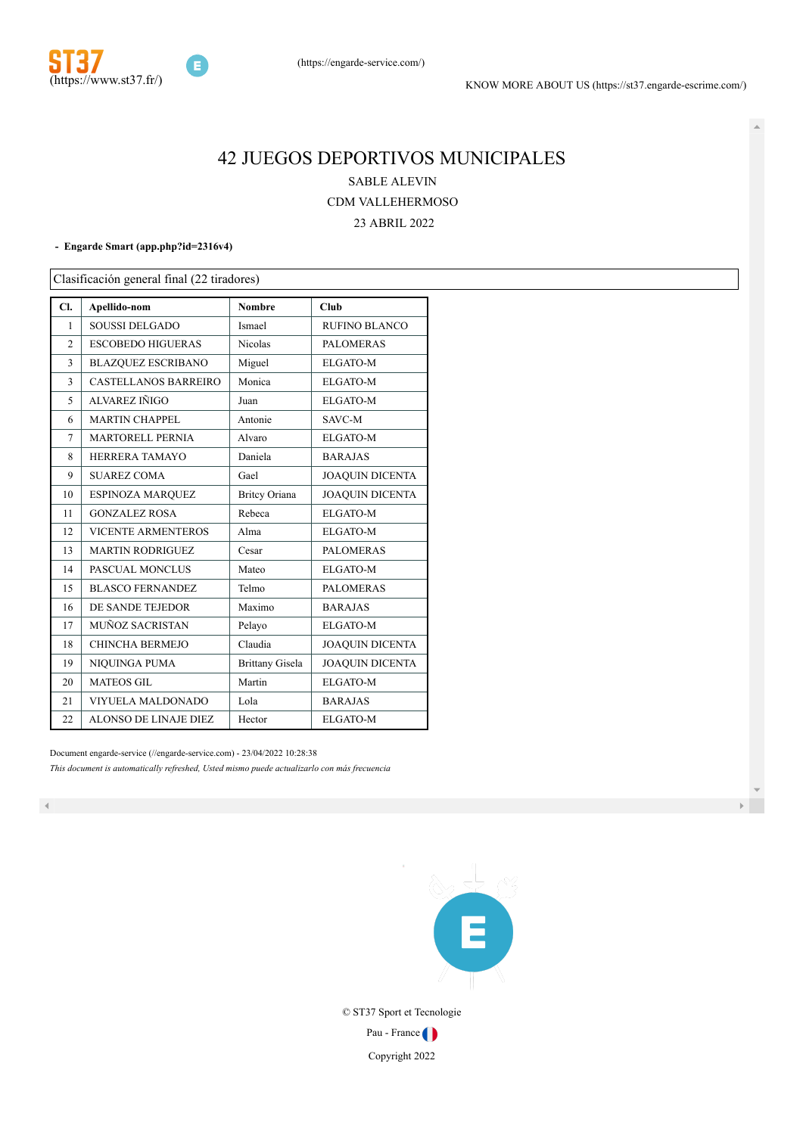

# JUEGOS DEPORTIVOS MUNICIPALES SABLE ALEVIN CDM VALLEHERMOSO

ABRIL 2022

#### **- Engarde Smart [\(app.php?id=2316v4\)](http://www.engarde-service.com/app.php?id=2316v4)**

Clasificación general final (22 tiradores)

| Cl.            | Apellido-nom                | <b>Nombre</b>          | Club                   |
|----------------|-----------------------------|------------------------|------------------------|
| 1              | <b>SOUSSI DELGADO</b>       | Ismael                 | <b>RUFINO BLANCO</b>   |
| $\overline{2}$ | <b>ESCOBEDO HIGUERAS</b>    | Nicolas                | <b>PALOMERAS</b>       |
| 3              | <b>BLAZQUEZ ESCRIBANO</b>   | Miguel                 | ELGATO-M               |
| 3              | <b>CASTELLANOS BARREIRO</b> | Monica                 | <b>ELGATO-M</b>        |
| 5              | ALVAREZ IÑIGO               | Juan                   | <b>ELGATO-M</b>        |
| 6              | <b>MARTIN CHAPPEL</b>       | Antonie                | SAVC-M                 |
| 7              | <b>MARTORELL PERNIA</b>     | Alvaro                 | <b>ELGATO-M</b>        |
| 8              | HERRERA TAMAYO              | Daniela                | <b>BARAJAS</b>         |
| 9              | <b>SUAREZ COMA</b>          | Gael                   | <b>JOAQUIN DICENTA</b> |
| 10             | ESPINOZA MARQUEZ            | <b>Britcy Oriana</b>   | <b>JOAQUIN DICENTA</b> |
| 11             | <b>GONZALEZ ROSA</b>        | Rebeca                 | <b>ELGATO-M</b>        |
| 12             | <b>VICENTE ARMENTEROS</b>   | Alma                   | <b>ELGATO-M</b>        |
| 13             | <b>MARTIN RODRIGUEZ</b>     | Cesar                  | <b>PALOMERAS</b>       |
| 14             | PASCUAL MONCLUS             | Mateo                  | <b>ELGATO-M</b>        |
| 15             | <b>BLASCO FERNANDEZ</b>     | Telmo                  | <b>PALOMERAS</b>       |
| 16             | DE SANDE TEJEDOR            | Maximo                 | <b>BARAJAS</b>         |
| 17             | MUÑOZ SACRISTAN             | Pelayo                 | <b>ELGATO-M</b>        |
| 18             | CHINCHA BERMEJO             | Claudia                | <b>JOAQUIN DICENTA</b> |
| 19             | NIQUINGA PUMA               | <b>Brittany Gisela</b> | <b>JOAQUIN DICENTA</b> |
| 20             | <b>MATEOS GIL</b>           | Martin                 | <b>ELGATO-M</b>        |
| 21             | VIYUELA MALDONADO           | Lola                   | <b>BARAJAS</b>         |
| 22             | ALONSO DE LINAJE DIEZ       | Hector                 | ELGATO-M               |

Document engarde-service [\(//engarde-service.com\)](http://engarde-service.com/) - 23/04/2022 10:28:38 *This document is automatically refreshed, Usted mismo puede actualizarlo con más frecuencia*



© ST37 Sport et Tecnologie

Pau - France

Copyright 2022